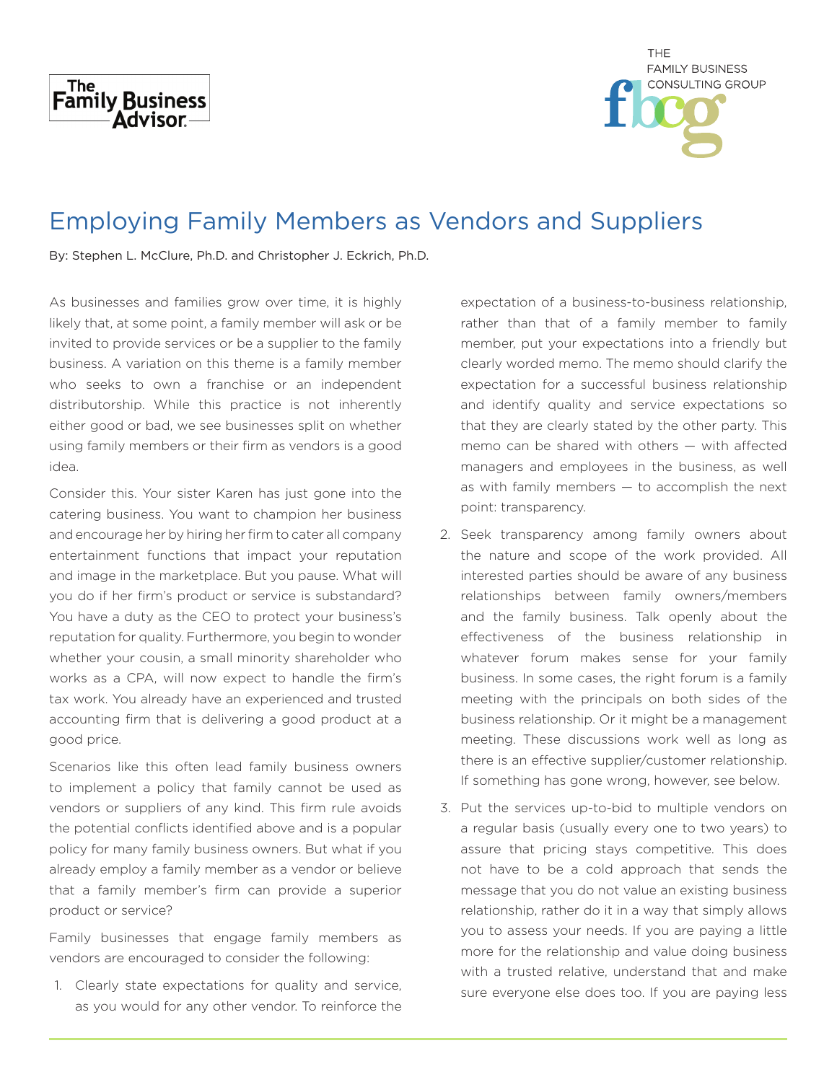



## Employing Family Members as Vendors and Suppliers

By: Stephen L. McClure, Ph.D. and Christopher J. Eckrich, Ph.D.

As businesses and families grow over time, it is highly likely that, at some point, a family member will ask or be invited to provide services or be a supplier to the family business. A variation on this theme is a family member who seeks to own a franchise or an independent distributorship. While this practice is not inherently either good or bad, we see businesses split on whether using family members or their firm as vendors is a good idea.

Consider this. Your sister Karen has just gone into the catering business. You want to champion her business and encourage her by hiring her firm to cater all company entertainment functions that impact your reputation and image in the marketplace. But you pause. What will you do if her firm's product or service is substandard? You have a duty as the CEO to protect your business's reputation for quality. Furthermore, you begin to wonder whether your cousin, a small minority shareholder who works as a CPA, will now expect to handle the firm's tax work. You already have an experienced and trusted accounting firm that is delivering a good product at a good price.

Scenarios like this often lead family business owners to implement a policy that family cannot be used as vendors or suppliers of any kind. This firm rule avoids the potential conflicts identified above and is a popular policy for many family business owners. But what if you already employ a family member as a vendor or believe that a family member's firm can provide a superior product or service?

Family businesses that engage family members as vendors are encouraged to consider the following:

1. Clearly state expectations for quality and service, as you would for any other vendor. To reinforce the expectation of a business-to-business relationship, rather than that of a family member to family member, put your expectations into a friendly but clearly worded memo. The memo should clarify the expectation for a successful business relationship and identify quality and service expectations so that they are clearly stated by the other party. This memo can be shared with others — with affected managers and employees in the business, as well as with family members  $-$  to accomplish the next point: transparency.

- 2. Seek transparency among family owners about the nature and scope of the work provided. All interested parties should be aware of any business relationships between family owners/members and the family business. Talk openly about the effectiveness of the business relationship in whatever forum makes sense for your family business. In some cases, the right forum is a family meeting with the principals on both sides of the business relationship. Or it might be a management meeting. These discussions work well as long as there is an effective supplier/customer relationship. If something has gone wrong, however, see below.
- 3. Put the services up-to-bid to multiple vendors on a regular basis (usually every one to two years) to assure that pricing stays competitive. This does not have to be a cold approach that sends the message that you do not value an existing business relationship, rather do it in a way that simply allows you to assess your needs. If you are paying a little more for the relationship and value doing business with a trusted relative, understand that and make sure everyone else does too. If you are paying less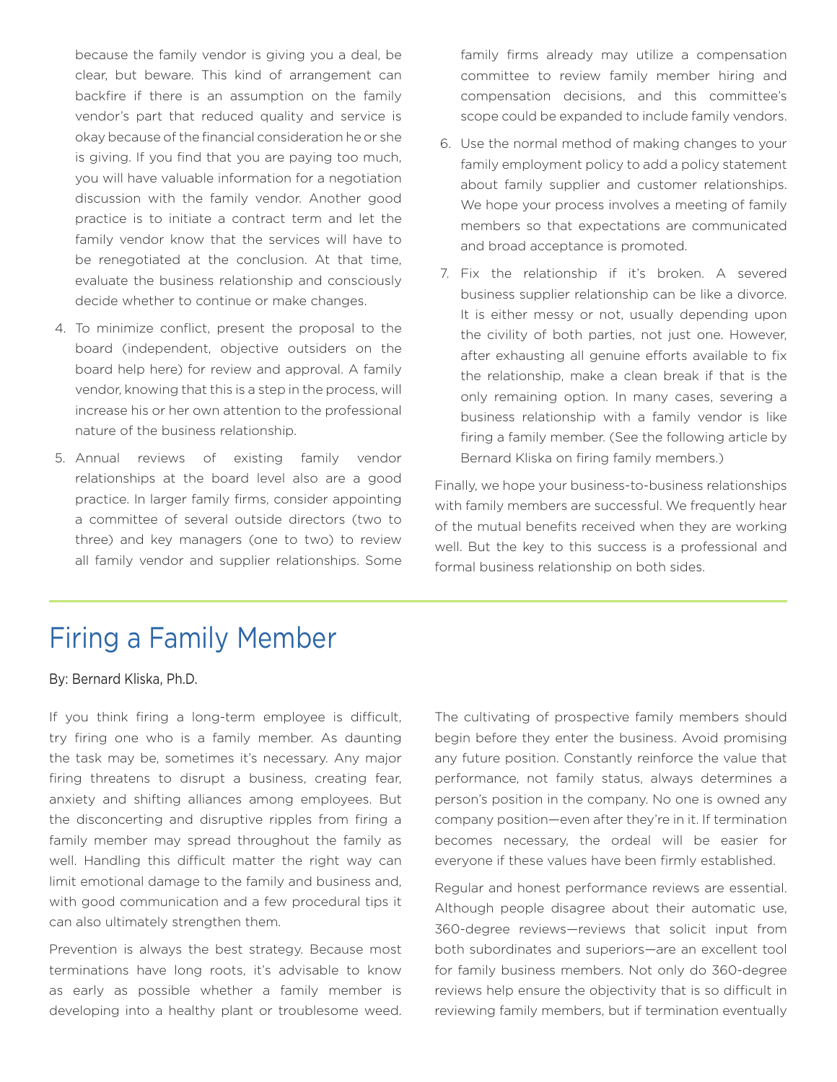because the family vendor is giving you a deal, be clear, but beware. This kind of arrangement can backfire if there is an assumption on the family vendor's part that reduced quality and service is okay because of the financial consideration he or she is giving. If you find that you are paying too much, you will have valuable information for a negotiation discussion with the family vendor. Another good practice is to initiate a contract term and let the family vendor know that the services will have to be renegotiated at the conclusion. At that time, evaluate the business relationship and consciously decide whether to continue or make changes.

- 4. To minimize conflict, present the proposal to the board (independent, objective outsiders on the board help here) for review and approval. A family vendor, knowing that this is a step in the process, will increase his or her own attention to the professional nature of the business relationship.
- 5. Annual reviews of existing family vendor relationships at the board level also are a good practice. In larger family firms, consider appointing a committee of several outside directors (two to three) and key managers (one to two) to review all family vendor and supplier relationships. Some

family firms already may utilize a compensation committee to review family member hiring and compensation decisions, and this committee's scope could be expanded to include family vendors.

- 6. Use the normal method of making changes to your family employment policy to add a policy statement about family supplier and customer relationships. We hope your process involves a meeting of family members so that expectations are communicated and broad acceptance is promoted.
- 7. Fix the relationship if it's broken. A severed business supplier relationship can be like a divorce. It is either messy or not, usually depending upon the civility of both parties, not just one. However, after exhausting all genuine efforts available to fix the relationship, make a clean break if that is the only remaining option. In many cases, severing a business relationship with a family vendor is like firing a family member. (See the following article by Bernard Kliska on firing family members.)

Finally, we hope your business-to-business relationships with family members are successful. We frequently hear of the mutual benefits received when they are working well. But the key to this success is a professional and formal business relationship on both sides.

## Firing a Family Member

By: Bernard Kliska, Ph.D.

If you think firing a long-term employee is difficult, try firing one who is a family member. As daunting the task may be, sometimes it's necessary. Any major firing threatens to disrupt a business, creating fear, anxiety and shifting alliances among employees. But the disconcerting and disruptive ripples from firing a family member may spread throughout the family as well. Handling this difficult matter the right way can limit emotional damage to the family and business and, with good communication and a few procedural tips it can also ultimately strengthen them.

Prevention is always the best strategy. Because most terminations have long roots, it's advisable to know as early as possible whether a family member is developing into a healthy plant or troublesome weed.

The cultivating of prospective family members should begin before they enter the business. Avoid promising any future position. Constantly reinforce the value that performance, not family status, always determines a person's position in the company. No one is owned any company position—even after they're in it. If termination becomes necessary, the ordeal will be easier for everyone if these values have been firmly established.

Regular and honest performance reviews are essential. Although people disagree about their automatic use, 360-degree reviews—reviews that solicit input from both subordinates and superiors—are an excellent tool for family business members. Not only do 360-degree reviews help ensure the objectivity that is so difficult in reviewing family members, but if termination eventually